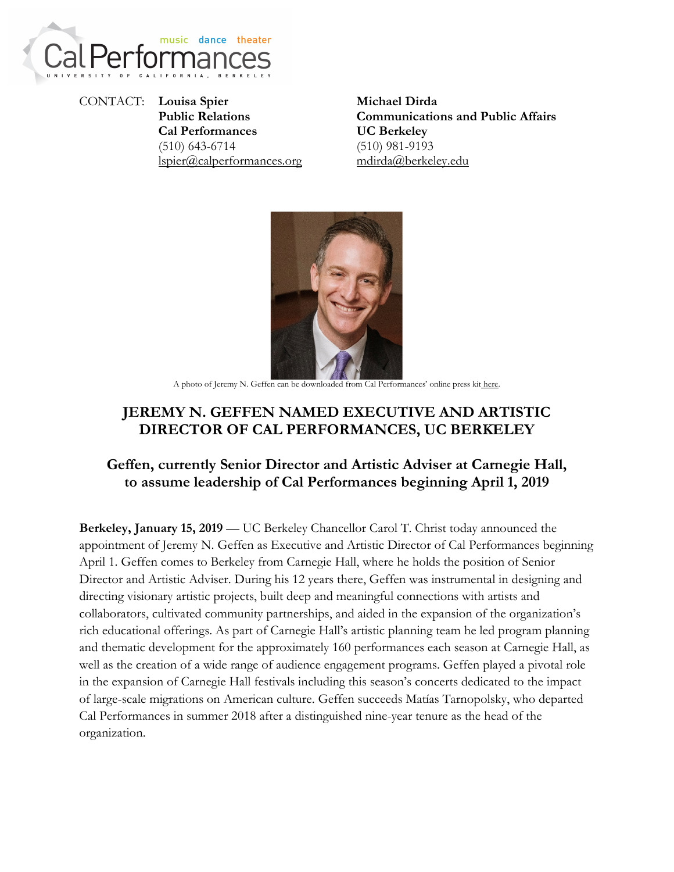

CONTACT: **Louisa Spier Public Relations Cal Performances** (510) 643-6714 [lspier@calperformances.org](mailto:lspier@calperformances.org)

**Michael Dirda Communications and Public Affairs UC Berkeley** (510) 981-9193 mdirda@berkeley.edu



A photo of Jeremy N. Geffen can be downloaded from Cal Performances' online press kit [here.](https://calperformances.org/learn/press-room/press-kits/2018-19/cal-performances-announces-new-director.php)

# **JEREMY N. GEFFEN NAMED EXECUTIVE AND ARTISTIC DIRECTOR OF CAL PERFORMANCES, UC BERKELEY**

## **Geffen, currently Senior Director and Artistic Adviser at Carnegie Hall, to assume leadership of Cal Performances beginning April 1, 2019**

**Berkeley, January 15, 2019** — UC Berkeley Chancellor Carol T. Christ today announced the appointment of Jeremy N. Geffen as Executive and Artistic Director of Cal Performances beginning April 1. Geffen comes to Berkeley from Carnegie Hall, where he holds the position of Senior Director and Artistic Adviser. During his 12 years there, Geffen was instrumental in designing and directing visionary artistic projects, built deep and meaningful connections with artists and collaborators, cultivated community partnerships, and aided in the expansion of the organization's rich educational offerings. As part of Carnegie Hall's artistic planning team he led program planning and thematic development for the approximately 160 performances each season at Carnegie Hall, as well as the creation of a wide range of audience engagement programs. Geffen played a pivotal role in the expansion of Carnegie Hall festivals including this season's concerts dedicated to the impact of large-scale migrations on American culture. Geffen succeeds Matías Tarnopolsky, who departed Cal Performances in summer 2018 after a distinguished nine-year tenure as the head of the organization.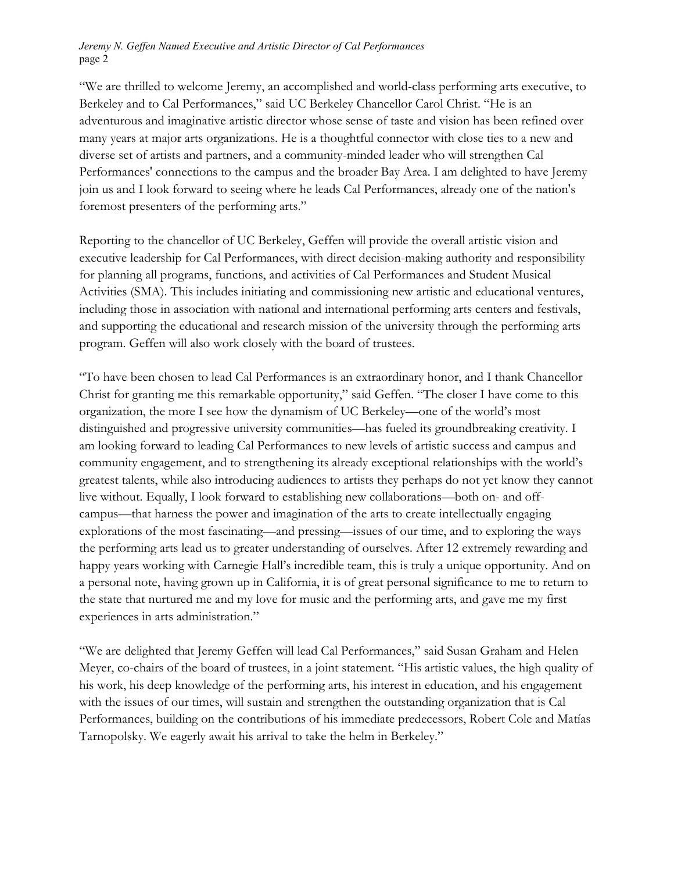#### *Jeremy N. Geffen Named Executive and Artistic Director of Cal Performances* page 2

"We are thrilled to welcome Jeremy, an accomplished and world-class performing arts executive, to Berkeley and to Cal Performances," said UC Berkeley Chancellor Carol Christ. "He is an adventurous and imaginative artistic director whose sense of taste and vision has been refined over many years at major arts organizations. He is a thoughtful connector with close ties to a new and diverse set of artists and partners, and a community-minded leader who will strengthen Cal Performances' connections to the campus and the broader Bay Area. I am delighted to have Jeremy join us and I look forward to seeing where he leads Cal Performances, already one of the nation's foremost presenters of the performing arts."

Reporting to the chancellor of UC Berkeley, Geffen will provide the overall artistic vision and executive leadership for Cal Performances, with direct decision-making authority and responsibility for planning all programs, functions, and activities of Cal Performances and Student Musical Activities (SMA). This includes initiating and commissioning new artistic and educational ventures, including those in association with national and international performing arts centers and festivals, and supporting the educational and research mission of the university through the performing arts program. Geffen will also work closely with the board of trustees.

"To have been chosen to lead Cal Performances is an extraordinary honor, and I thank Chancellor Christ for granting me this remarkable opportunity," said Geffen. "The closer I have come to this organization, the more I see how the dynamism of UC Berkeley—one of the world's most distinguished and progressive university communities—has fueled its groundbreaking creativity. I am looking forward to leading Cal Performances to new levels of artistic success and campus and community engagement, and to strengthening its already exceptional relationships with the world's greatest talents, while also introducing audiences to artists they perhaps do not yet know they cannot live without. Equally, I look forward to establishing new collaborations—both on- and offcampus—that harness the power and imagination of the arts to create intellectually engaging explorations of the most fascinating—and pressing—issues of our time, and to exploring the ways the performing arts lead us to greater understanding of ourselves. After 12 extremely rewarding and happy years working with Carnegie Hall's incredible team, this is truly a unique opportunity. And on a personal note, having grown up in California, it is of great personal significance to me to return to the state that nurtured me and my love for music and the performing arts, and gave me my first experiences in arts administration."

"We are delighted that Jeremy Geffen will lead Cal Performances," said Susan Graham and Helen Meyer, co-chairs of the board of trustees, in a joint statement. "His artistic values, the high quality of his work, his deep knowledge of the performing arts, his interest in education, and his engagement with the issues of our times, will sustain and strengthen the outstanding organization that is Cal Performances, building on the contributions of his immediate predecessors, Robert Cole and Matías Tarnopolsky. We eagerly await his arrival to take the helm in Berkeley."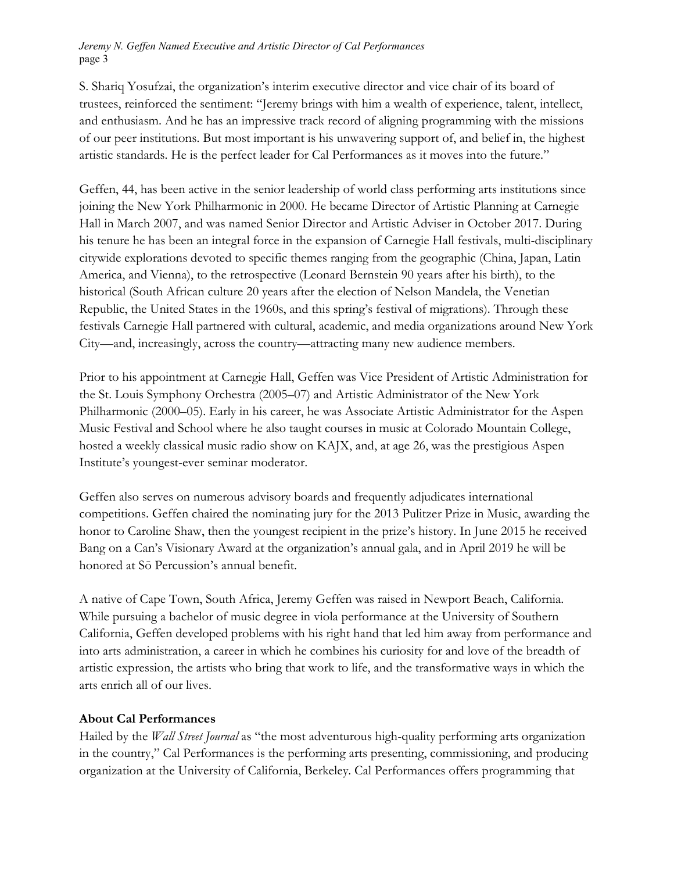*Jeremy N. Geffen Named Executive and Artistic Director of Cal Performances* page 3

S. Shariq Yosufzai, the organization's interim executive director and vice chair of its board of trustees, reinforced the sentiment: "Jeremy brings with him a wealth of experience, talent, intellect, and enthusiasm. And he has an impressive track record of aligning programming with the missions of our peer institutions. But most important is his unwavering support of, and belief in, the highest artistic standards. He is the perfect leader for Cal Performances as it moves into the future."

Geffen, 44, has been active in the senior leadership of world class performing arts institutions since joining the New York Philharmonic in 2000. He became Director of Artistic Planning at Carnegie Hall in March 2007, and was named Senior Director and Artistic Adviser in October 2017. During his tenure he has been an integral force in the expansion of Carnegie Hall festivals, multi-disciplinary citywide explorations devoted to specific themes ranging from the geographic (China, Japan, Latin America, and Vienna), to the retrospective (Leonard Bernstein 90 years after his birth), to the historical (South African culture 20 years after the election of Nelson Mandela, the Venetian Republic, the United States in the 1960s, and this spring's festival of migrations). Through these festivals Carnegie Hall partnered with cultural, academic, and media organizations around New York City—and, increasingly, across the country—attracting many new audience members.

Prior to his appointment at Carnegie Hall, Geffen was Vice President of Artistic Administration for the St. Louis Symphony Orchestra (2005–07) and Artistic Administrator of the New York Philharmonic (2000–05). Early in his career, he was Associate Artistic Administrator for the Aspen Music Festival and School where he also taught courses in music at Colorado Mountain College, hosted a weekly classical music radio show on KAJX, and, at age 26, was the prestigious Aspen Institute's youngest-ever seminar moderator.

Geffen also serves on numerous advisory boards and frequently adjudicates international competitions. Geffen chaired the nominating jury for the 2013 Pulitzer Prize in Music, awarding the honor to Caroline Shaw, then the youngest recipient in the prize's history. In June 2015 he received Bang on a Can's Visionary Award at the organization's annual gala, and in April 2019 he will be honored at Sō Percussion's annual benefit.

A native of Cape Town, South Africa, Jeremy Geffen was raised in Newport Beach, California. While pursuing a bachelor of music degree in viola performance at the University of Southern California, Geffen developed problems with his right hand that led him away from performance and into arts administration, a career in which he combines his curiosity for and love of the breadth of artistic expression, the artists who bring that work to life, and the transformative ways in which the arts enrich all of our lives.

### **About Cal Performances**

Hailed by the *Wall Street Journal* as "the most adventurous high-quality performing arts organization in the country," Cal Performances is the performing arts presenting, commissioning, and producing organization at the University of California, Berkeley. Cal Performances offers programming that